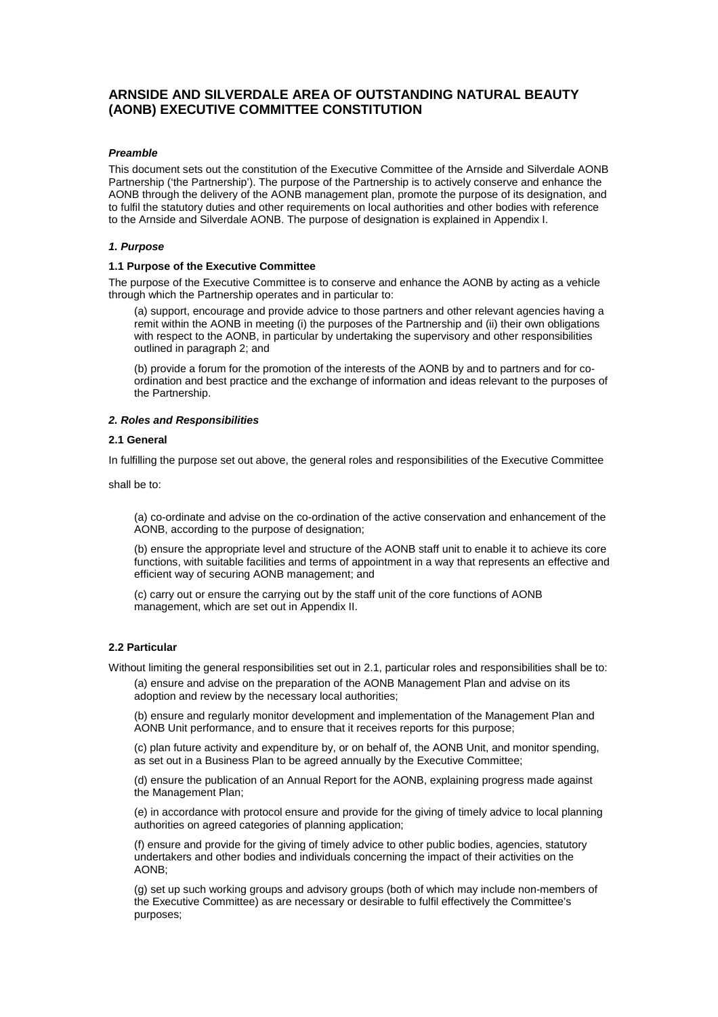# **ARNSIDE AND SILVERDALE AREA OF OUTSTANDING NATURAL BEAUTY (AONB) EXECUTIVE COMMITTEE CONSTITUTION**

## **Preamble**

This document sets out the constitution of the Executive Committee of the Arnside and Silverdale AONB Partnership ('the Partnership'). The purpose of the Partnership is to actively conserve and enhance the AONB through the delivery of the AONB management plan, promote the purpose of its designation, and to fulfil the statutory duties and other requirements on local authorities and other bodies with reference to the Arnside and Silverdale AONB. The purpose of designation is explained in Appendix I.

#### **1. Purpose**

#### **1.1 Purpose of the Executive Committee**

The purpose of the Executive Committee is to conserve and enhance the AONB by acting as a vehicle through which the Partnership operates and in particular to:

(a) support, encourage and provide advice to those partners and other relevant agencies having a remit within the AONB in meeting (i) the purposes of the Partnership and (ii) their own obligations with respect to the AONB, in particular by undertaking the supervisory and other responsibilities outlined in paragraph 2; and

(b) provide a forum for the promotion of the interests of the AONB by and to partners and for coordination and best practice and the exchange of information and ideas relevant to the purposes of the Partnership.

#### **2. Roles and Responsibilities**

#### **2.1 General**

In fulfilling the purpose set out above, the general roles and responsibilities of the Executive Committee

shall be to:

(a) co-ordinate and advise on the co-ordination of the active conservation and enhancement of the AONB, according to the purpose of designation;

(b) ensure the appropriate level and structure of the AONB staff unit to enable it to achieve its core functions, with suitable facilities and terms of appointment in a way that represents an effective and efficient way of securing AONB management; and

(c) carry out or ensure the carrying out by the staff unit of the core functions of AONB management, which are set out in Appendix II.

#### **2.2 Particular**

Without limiting the general responsibilities set out in 2.1, particular roles and responsibilities shall be to:

(a) ensure and advise on the preparation of the AONB Management Plan and advise on its adoption and review by the necessary local authorities;

(b) ensure and regularly monitor development and implementation of the Management Plan and AONB Unit performance, and to ensure that it receives reports for this purpose;

(c) plan future activity and expenditure by, or on behalf of, the AONB Unit, and monitor spending, as set out in a Business Plan to be agreed annually by the Executive Committee;

(d) ensure the publication of an Annual Report for the AONB, explaining progress made against the Management Plan;

(e) in accordance with protocol ensure and provide for the giving of timely advice to local planning authorities on agreed categories of planning application;

(f) ensure and provide for the giving of timely advice to other public bodies, agencies, statutory undertakers and other bodies and individuals concerning the impact of their activities on the AONB;

(g) set up such working groups and advisory groups (both of which may include non-members of the Executive Committee) as are necessary or desirable to fulfil effectively the Committee's purposes;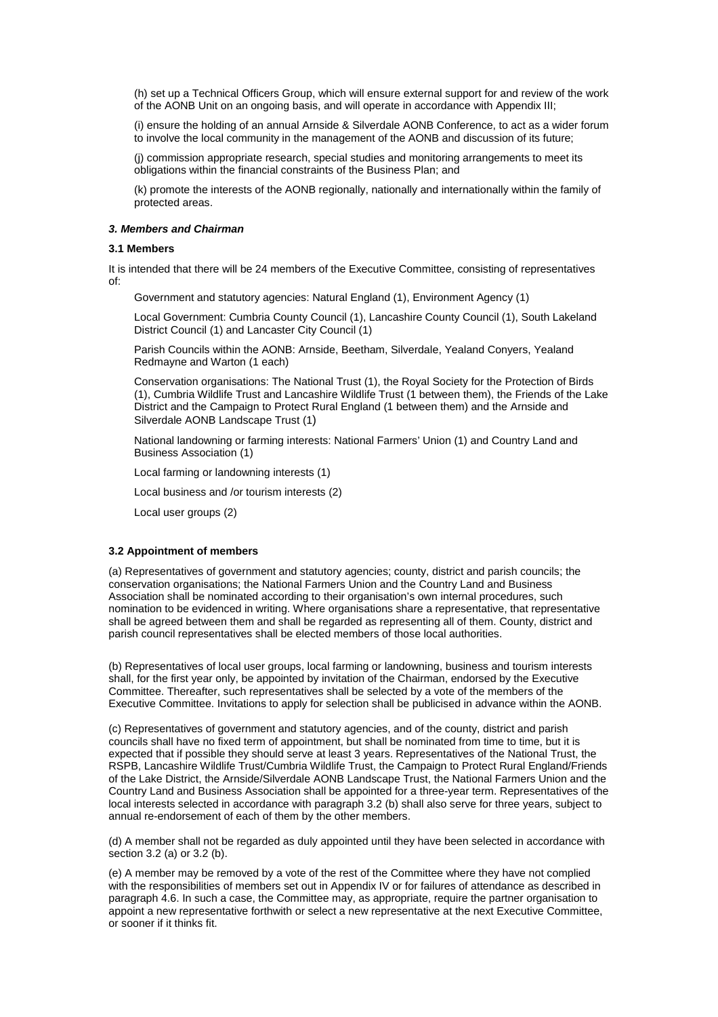(h) set up a Technical Officers Group, which will ensure external support for and review of the work of the AONB Unit on an ongoing basis, and will operate in accordance with Appendix III;

(i) ensure the holding of an annual Arnside & Silverdale AONB Conference, to act as a wider forum to involve the local community in the management of the AONB and discussion of its future;

(j) commission appropriate research, special studies and monitoring arrangements to meet its obligations within the financial constraints of the Business Plan; and

(k) promote the interests of the AONB regionally, nationally and internationally within the family of protected areas.

## **3. Members and Chairman**

#### **3.1 Members**

It is intended that there will be 24 members of the Executive Committee, consisting of representatives of:

Government and statutory agencies: Natural England (1), Environment Agency (1)

Local Government: Cumbria County Council (1), Lancashire County Council (1), South Lakeland District Council (1) and Lancaster City Council (1)

Parish Councils within the AONB: Arnside, Beetham, Silverdale, Yealand Conyers, Yealand Redmayne and Warton (1 each)

Conservation organisations: The National Trust (1), the Royal Society for the Protection of Birds (1), Cumbria Wildlife Trust and Lancashire Wildlife Trust (1 between them), the Friends of the Lake District and the Campaign to Protect Rural England (1 between them) and the Arnside and Silverdale AONB Landscape Trust (1)

National landowning or farming interests: National Farmers' Union (1) and Country Land and Business Association (1)

Local farming or landowning interests (1)

Local business and /or tourism interests (2)

Local user groups (2)

#### **3.2 Appointment of members**

(a) Representatives of government and statutory agencies; county, district and parish councils; the conservation organisations; the National Farmers Union and the Country Land and Business Association shall be nominated according to their organisation's own internal procedures, such nomination to be evidenced in writing. Where organisations share a representative, that representative shall be agreed between them and shall be regarded as representing all of them. County, district and parish council representatives shall be elected members of those local authorities.

(b) Representatives of local user groups, local farming or landowning, business and tourism interests shall, for the first year only, be appointed by invitation of the Chairman, endorsed by the Executive Committee. Thereafter, such representatives shall be selected by a vote of the members of the Executive Committee. Invitations to apply for selection shall be publicised in advance within the AONB.

(c) Representatives of government and statutory agencies, and of the county, district and parish councils shall have no fixed term of appointment, but shall be nominated from time to time, but it is expected that if possible they should serve at least 3 years. Representatives of the National Trust, the RSPB, Lancashire Wildlife Trust/Cumbria Wildlife Trust, the Campaign to Protect Rural England/Friends of the Lake District, the Arnside/Silverdale AONB Landscape Trust, the National Farmers Union and the Country Land and Business Association shall be appointed for a three-year term. Representatives of the local interests selected in accordance with paragraph 3.2 (b) shall also serve for three years, subject to annual re-endorsement of each of them by the other members.

(d) A member shall not be regarded as duly appointed until they have been selected in accordance with section 3.2 (a) or 3.2 (b).

(e) A member may be removed by a vote of the rest of the Committee where they have not complied with the responsibilities of members set out in Appendix IV or for failures of attendance as described in paragraph 4.6. In such a case, the Committee may, as appropriate, require the partner organisation to appoint a new representative forthwith or select a new representative at the next Executive Committee, or sooner if it thinks fit.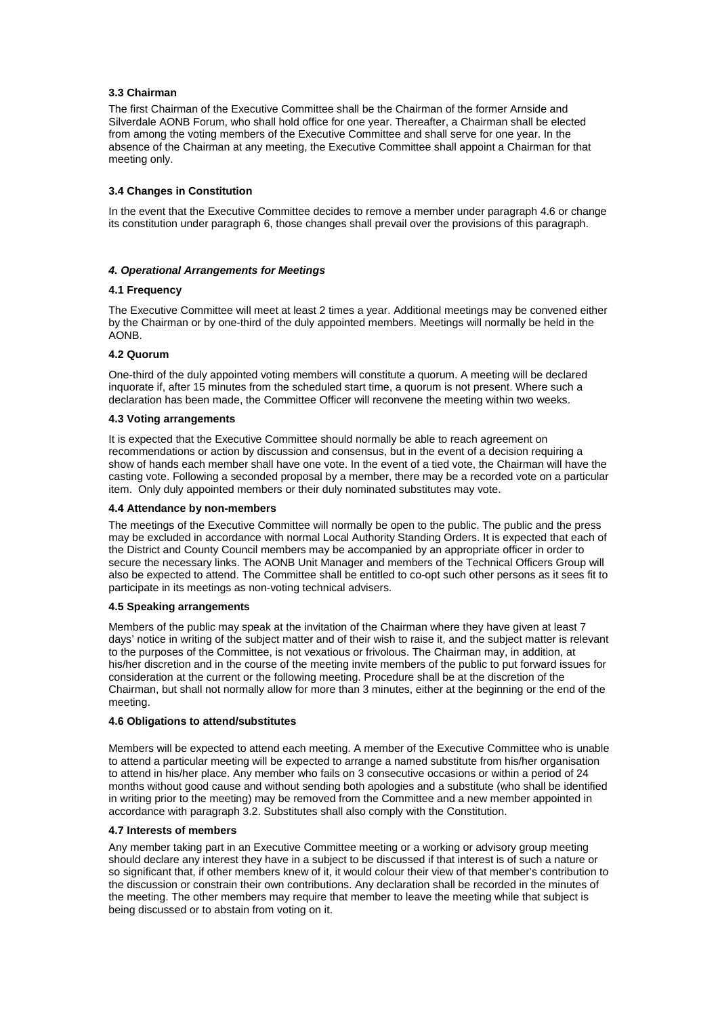## **3.3 Chairman**

The first Chairman of the Executive Committee shall be the Chairman of the former Arnside and Silverdale AONB Forum, who shall hold office for one year. Thereafter, a Chairman shall be elected from among the voting members of the Executive Committee and shall serve for one year. In the absence of the Chairman at any meeting, the Executive Committee shall appoint a Chairman for that meeting only.

## **3.4 Changes in Constitution**

In the event that the Executive Committee decides to remove a member under paragraph 4.6 or change its constitution under paragraph 6, those changes shall prevail over the provisions of this paragraph.

## **4. Operational Arrangements for Meetings**

#### **4.1 Frequency**

The Executive Committee will meet at least 2 times a year. Additional meetings may be convened either by the Chairman or by one-third of the duly appointed members. Meetings will normally be held in the AONB.

## **4.2 Quorum**

One-third of the duly appointed voting members will constitute a quorum. A meeting will be declared inquorate if, after 15 minutes from the scheduled start time, a quorum is not present. Where such a declaration has been made, the Committee Officer will reconvene the meeting within two weeks.

#### **4.3 Voting arrangements**

It is expected that the Executive Committee should normally be able to reach agreement on recommendations or action by discussion and consensus, but in the event of a decision requiring a show of hands each member shall have one vote. In the event of a tied vote, the Chairman will have the casting vote. Following a seconded proposal by a member, there may be a recorded vote on a particular item. Only duly appointed members or their duly nominated substitutes may vote.

#### **4.4 Attendance by non-members**

The meetings of the Executive Committee will normally be open to the public. The public and the press may be excluded in accordance with normal Local Authority Standing Orders. It is expected that each of the District and County Council members may be accompanied by an appropriate officer in order to secure the necessary links. The AONB Unit Manager and members of the Technical Officers Group will also be expected to attend. The Committee shall be entitled to co-opt such other persons as it sees fit to participate in its meetings as non-voting technical advisers.

#### **4.5 Speaking arrangements**

Members of the public may speak at the invitation of the Chairman where they have given at least 7 days' notice in writing of the subject matter and of their wish to raise it, and the subject matter is relevant to the purposes of the Committee, is not vexatious or frivolous. The Chairman may, in addition, at his/her discretion and in the course of the meeting invite members of the public to put forward issues for consideration at the current or the following meeting. Procedure shall be at the discretion of the Chairman, but shall not normally allow for more than 3 minutes, either at the beginning or the end of the meeting.

#### **4.6 Obligations to attend/substitutes**

Members will be expected to attend each meeting. A member of the Executive Committee who is unable to attend a particular meeting will be expected to arrange a named substitute from his/her organisation to attend in his/her place. Any member who fails on 3 consecutive occasions or within a period of 24 months without good cause and without sending both apologies and a substitute (who shall be identified in writing prior to the meeting) may be removed from the Committee and a new member appointed in accordance with paragraph 3.2. Substitutes shall also comply with the Constitution.

#### **4.7 Interests of members**

Any member taking part in an Executive Committee meeting or a working or advisory group meeting should declare any interest they have in a subject to be discussed if that interest is of such a nature or so significant that, if other members knew of it, it would colour their view of that member's contribution to the discussion or constrain their own contributions. Any declaration shall be recorded in the minutes of the meeting. The other members may require that member to leave the meeting while that subject is being discussed or to abstain from voting on it.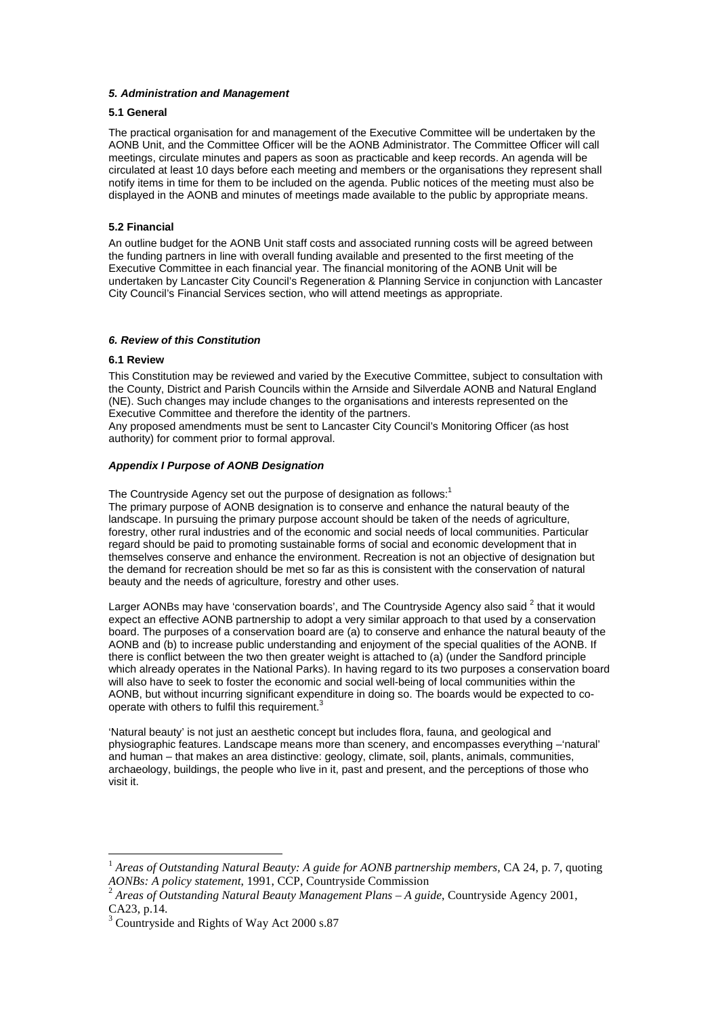#### **5. Administration and Management**

## **5.1 General**

The practical organisation for and management of the Executive Committee will be undertaken by the AONB Unit, and the Committee Officer will be the AONB Administrator. The Committee Officer will call meetings, circulate minutes and papers as soon as practicable and keep records. An agenda will be circulated at least 10 days before each meeting and members or the organisations they represent shall notify items in time for them to be included on the agenda. Public notices of the meeting must also be displayed in the AONB and minutes of meetings made available to the public by appropriate means.

## **5.2 Financial**

An outline budget for the AONB Unit staff costs and associated running costs will be agreed between the funding partners in line with overall funding available and presented to the first meeting of the Executive Committee in each financial year. The financial monitoring of the AONB Unit will be undertaken by Lancaster City Council's Regeneration & Planning Service in conjunction with Lancaster City Council's Financial Services section, who will attend meetings as appropriate.

## **6. Review of this Constitution**

#### **6.1 Review**

 $\overline{a}$ 

This Constitution may be reviewed and varied by the Executive Committee, subject to consultation with the County, District and Parish Councils within the Arnside and Silverdale AONB and Natural England (NE). Such changes may include changes to the organisations and interests represented on the Executive Committee and therefore the identity of the partners.

Any proposed amendments must be sent to Lancaster City Council's Monitoring Officer (as host authority) for comment prior to formal approval.

#### **Appendix I Purpose of AONB Designation**

The Countryside Agency set out the purpose of designation as follows:<sup>1</sup>

The primary purpose of AONB designation is to conserve and enhance the natural beauty of the landscape. In pursuing the primary purpose account should be taken of the needs of agriculture, forestry, other rural industries and of the economic and social needs of local communities. Particular regard should be paid to promoting sustainable forms of social and economic development that in themselves conserve and enhance the environment. Recreation is not an objective of designation but the demand for recreation should be met so far as this is consistent with the conservation of natural beauty and the needs of agriculture, forestry and other uses.

Larger AONBs may have 'conservation boards', and The Countryside Agency also said  $^2$  that it would expect an effective AONB partnership to adopt a very similar approach to that used by a conservation board. The purposes of a conservation board are (a) to conserve and enhance the natural beauty of the AONB and (b) to increase public understanding and enjoyment of the special qualities of the AONB. If there is conflict between the two then greater weight is attached to (a) (under the Sandford principle which already operates in the National Parks). In having regard to its two purposes a conservation board will also have to seek to foster the economic and social well-being of local communities within the AONB, but without incurring significant expenditure in doing so. The boards would be expected to cooperate with others to fulfil this requirement.<sup>3</sup>

'Natural beauty' is not just an aesthetic concept but includes flora, fauna, and geological and physiographic features. Landscape means more than scenery, and encompasses everything –'natural' and human – that makes an area distinctive: geology, climate, soil, plants, animals, communities, archaeology, buildings, the people who live in it, past and present, and the perceptions of those who visit it.

<sup>1</sup> *Areas of Outstanding Natural Beauty: A guide for AONB partnership members,* CA 24, p. 7, quoting *AONBs: A policy statement*, 1991, CCP, Countryside Commission

<sup>2</sup> *Areas of Outstanding Natural Beauty Management Plans – A guide*, Countryside Agency 2001, CA23, p.14.

<sup>3</sup> Countryside and Rights of Way Act 2000 s.87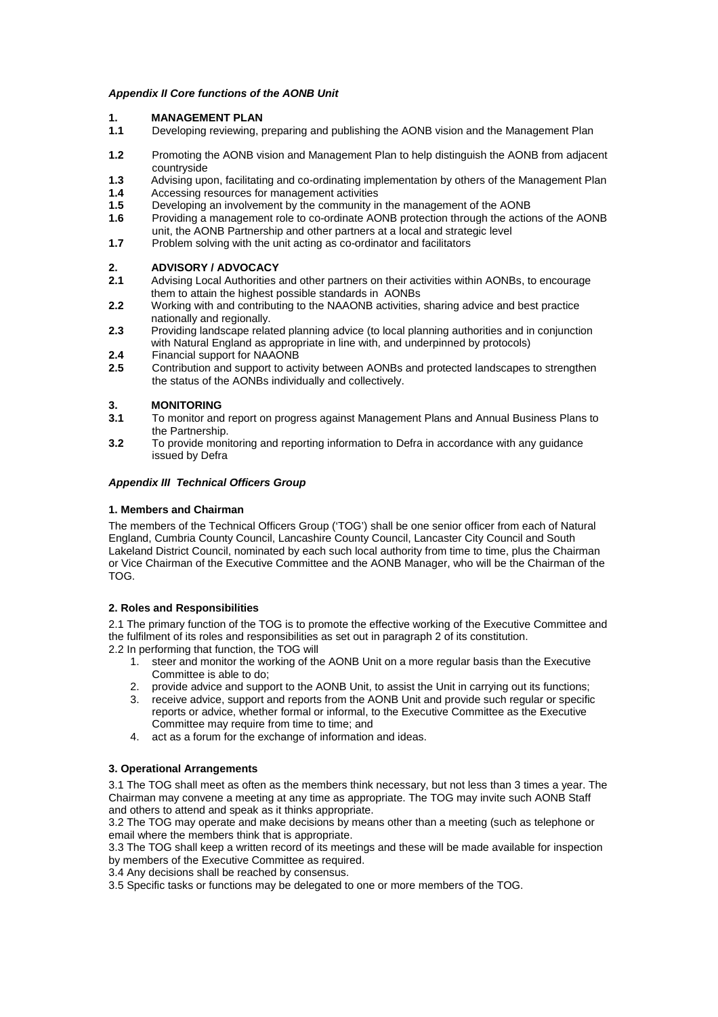## **Appendix II Core functions of the AONB Unit**

## **1. MANAGEMENT PLAN**

- **1.1** Developing reviewing, preparing and publishing the AONB vision and the Management Plan
- **1.2** Promoting the AONB vision and Management Plan to help distinguish the AONB from adjacent countryside
- **1.3** Advising upon, facilitating and co-ordinating implementation by others of the Management Plan
- **1.4** Accessing resources for management activities<br>**1.5** Developing an involvement by the community in
- **1.5** Developing an involvement by the community in the management of the AONB<br>**1.6** Providing a management role to co-ordinate AONB protection through the action
- **1.6** Providing a management role to co-ordinate AONB protection through the actions of the AONB unit, the AONB Partnership and other partners at a local and strategic level
- **1.7** Problem solving with the unit acting as co-ordinator and facilitators

## **2. ADVISORY / ADVOCACY**

- **2.1** Advising Local Authorities and other partners on their activities within AONBs, to encourage them to attain the highest possible standards in AONBs
- **2.2** Working with and contributing to the NAAONB activities, sharing advice and best practice nationally and regionally.
- **2.3** Providing landscape related planning advice (to local planning authorities and in conjunction with Natural England as appropriate in line with, and underpinned by protocols)
- **2.4** Financial support for NAAONB
- **2.5** Contribution and support to activity between AONBs and protected landscapes to strengthen the status of the AONBs individually and collectively.

# **3.1 MONITORING**<br>**3.1** To monitor and

- **3.1** To monitor and report on progress against Management Plans and Annual Business Plans to the Partnership.
- **3.2** To provide monitoring and reporting information to Defra in accordance with any guidance issued by Defra

## **Appendix III Technical Officers Group**

## **1. Members and Chairman**

The members of the Technical Officers Group ('TOG') shall be one senior officer from each of Natural England, Cumbria County Council, Lancashire County Council, Lancaster City Council and South Lakeland District Council, nominated by each such local authority from time to time, plus the Chairman or Vice Chairman of the Executive Committee and the AONB Manager, who will be the Chairman of the TOG.

#### **2. Roles and Responsibilities**

2.1 The primary function of the TOG is to promote the effective working of the Executive Committee and the fulfilment of its roles and responsibilities as set out in paragraph 2 of its constitution.

- 2.2 In performing that function, the TOG will
	- 1. steer and monitor the working of the AONB Unit on a more regular basis than the Executive Committee is able to do;
	- 2. provide advice and support to the AONB Unit, to assist the Unit in carrying out its functions;
	- 3. receive advice, support and reports from the AONB Unit and provide such regular or specific reports or advice, whether formal or informal, to the Executive Committee as the Executive Committee may require from time to time; and
	- 4. act as a forum for the exchange of information and ideas.

#### **3. Operational Arrangements**

3.1 The TOG shall meet as often as the members think necessary, but not less than 3 times a year. The Chairman may convene a meeting at any time as appropriate. The TOG may invite such AONB Staff and others to attend and speak as it thinks appropriate.

3.2 The TOG may operate and make decisions by means other than a meeting (such as telephone or email where the members think that is appropriate.

3.3 The TOG shall keep a written record of its meetings and these will be made available for inspection by members of the Executive Committee as required.

3.4 Any decisions shall be reached by consensus.

3.5 Specific tasks or functions may be delegated to one or more members of the TOG.